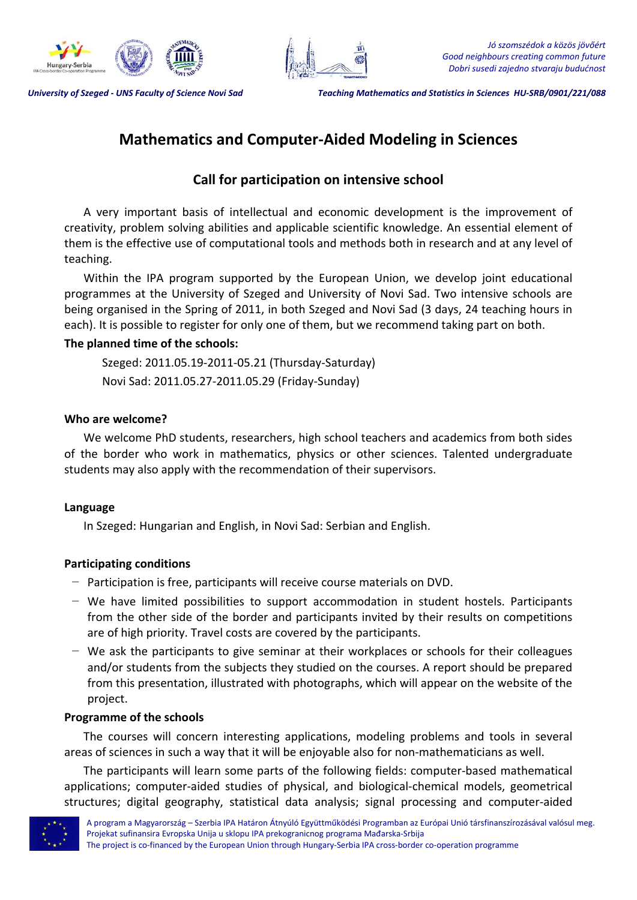



University of Szeged - UNS Faculty of Science Novi Sad Teaching Mathematics and Statistics in Sciences HU-SRB/0901/221/088

# **Mathematics and Computer‐Aided Modeling in Sciences**

# **Call for participation on intensive school**

A very important basis of intellectual and economic development is the improvement of creativity, problem solving abilities and applicable scientific knowledge. An essential element of them is the effective use of computational tools and methods both in research and at any level of teaching.

Within the IPA program supported by the European Union, we develop joint educational programmes at the University of Szeged and University of Novi Sad. Two intensive schools are being organised in the Spring of 2011, in both Szeged and Novi Sad (3 days, 24 teaching hours in each). It is possible to register for only one of them, but we recommend taking part on both.

# **The planned time of the schools:**

Szeged: 2011.05.19‐2011‐05.21 (Thursday‐Saturday) Novi Sad: 2011.05.27‐2011.05.29 (Friday‐Sunday)

### **Who are welcome?**

We welcome PhD students, researchers, high school teachers and academics from both sides of the border who work in mathematics, physics or other sciences. Talented undergraduate students may also apply with the recommendation of their supervisors.

#### **Language**

In Szeged: Hungarian and English, in Novi Sad: Serbian and English.

# **Participating conditions**

- − Participation is free, participants will receive course materials on DVD.
- − We have limited possibilities to support accommodation in student hostels. Participants from the other side of the border and participants invited by their results on competitions are of high priority. Travel costs are covered by the participants.
- − We ask the participants to give seminar at their workplaces or schools for their colleagues and/or students from the subjects they studied on the courses. A report should be prepared from this presentation, illustrated with photographs, which will appear on the website of the project.

#### **Programme of the schools**

The courses will concern interesting applications, modeling problems and tools in several areas of sciences in such a way that it will be enjoyable also for non-mathematicians as well.

The participants will learn some parts of the following fields: computer‐based mathematical applications; computer‐aided studies of physical, and biological‐chemical models, geometrical structures; digital geography, statistical data analysis; signal processing and computer‐aided